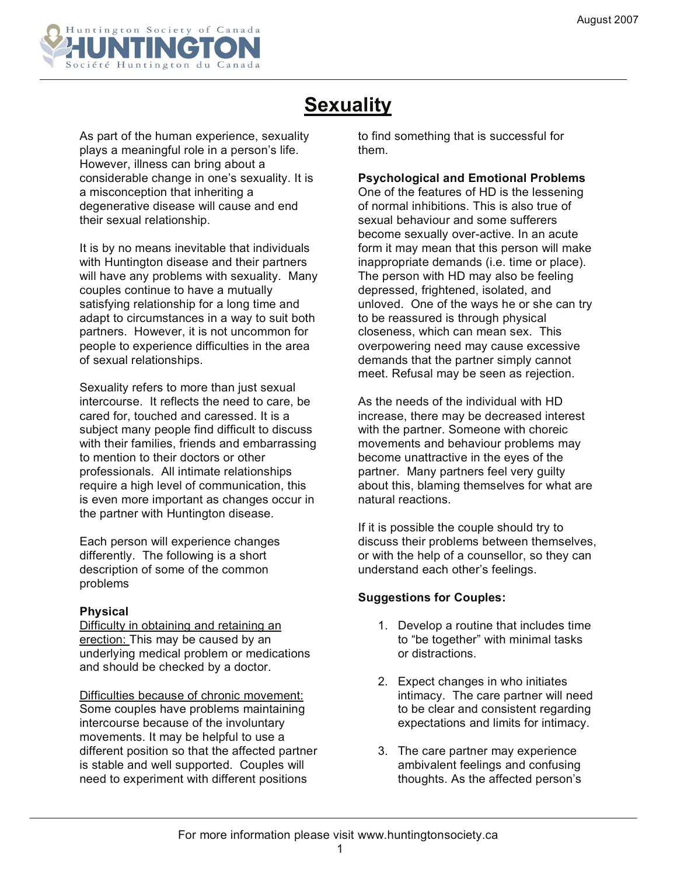

## **Sexuality**

As part of the human experience, sexuality plays a meaningful role in a person's life. However, illness can bring about a considerable change in one's sexuality. It is a misconception that inheriting a degenerative disease will cause and end their sexual relationship.

It is by no means inevitable that individuals with Huntington disease and their partners will have any problems with sexuality. Many couples continue to have a mutually satisfying relationship for a long time and adapt to circumstances in a way to suit both partners. However, it is not uncommon for people to experience difficulties in the area of sexual relationships.

Sexuality refers to more than just sexual intercourse. It reflects the need to care, be cared for, touched and caressed. It is a subject many people find difficult to discuss with their families, friends and embarrassing to mention to their doctors or other professionals. All intimate relationships require a high level of communication, this is even more important as changes occur in the partner with Huntington disease.

Each person will experience changes differently. The following is a short description of some of the common problems

## **Physical**

Difficulty in obtaining and retaining an erection: This may be caused by an underlying medical problem or medications and should be checked by a doctor.

Difficulties because of chronic movement: Some couples have problems maintaining intercourse because of the involuntary movements. It may be helpful to use a different position so that the affected partner is stable and well supported. Couples will need to experiment with different positions

to find something that is successful for them.

## **Psychological and Emotional Problems**

One of the features of HD is the lessening of normal inhibitions. This is also true of sexual behaviour and some sufferers become sexually over-active. In an acute form it may mean that this person will make inappropriate demands (i.e. time or place). The person with HD may also be feeling depressed, frightened, isolated, and unloved. One of the ways he or she can try to be reassured is through physical closeness, which can mean sex. This overpowering need may cause excessive demands that the partner simply cannot meet. Refusal may be seen as rejection.

As the needs of the individual with HD increase, there may be decreased interest with the partner. Someone with choreic movements and behaviour problems may become unattractive in the eyes of the partner. Many partners feel very guilty about this, blaming themselves for what are natural reactions.

If it is possible the couple should try to discuss their problems between themselves, or with the help of a counsellor, so they can understand each other's feelings.

## **Suggestions for Couples:**

- 1. Develop a routine that includes time to "be together" with minimal tasks or distractions.
- 2. Expect changes in who initiates intimacy. The care partner will need to be clear and consistent regarding expectations and limits for intimacy.
- 3. The care partner may experience ambivalent feelings and confusing thoughts. As the affected person's